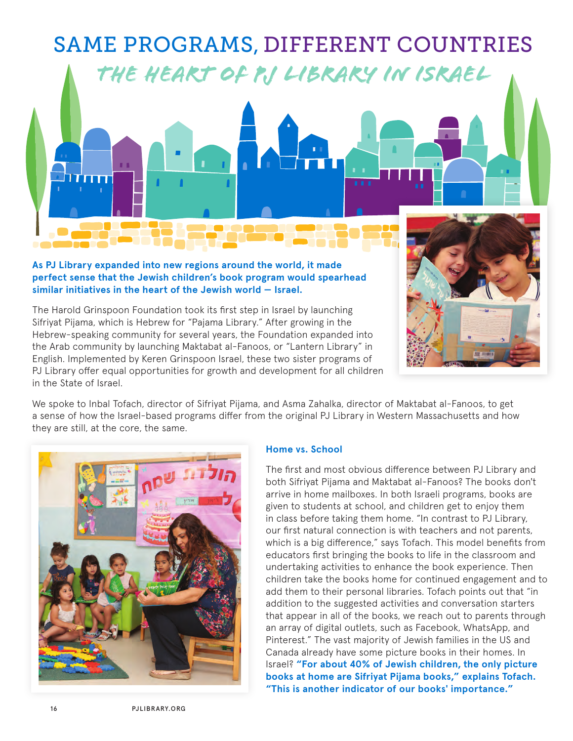# *The Heart of PJ Library in Israel* SAME PROGRAMS, DIFFERENT COUNTRIES

### **As PJ Library expanded into new regions around the world, it made perfect sense that the Jewish children's book program would spearhead similar initiatives in the heart of the Jewish world — Israel.**

The Harold Grinspoon Foundation took its first step in Israel by launching Sifriyat Pijama, which is Hebrew for "Pajama Library." After growing in the Hebrew-speaking community for several years, the Foundation expanded into the Arab community by launching Maktabat al-Fanoos, or "Lantern Library" in English. Implemented by Keren Grinspoon Israel, these two sister programs of PJ Library offer equal opportunities for growth and development for all children in the State of Israel.



We spoke to Inbal Tofach, director of Sifriyat Pijama, and Asma Zahalka, director of Maktabat al-Fanoos, to get a sense of how the Israel-based programs differ from the original PJ Library in Western Massachusetts and how they are still, at the core, the same.



# **Home vs. School**

The first and most obvious difference between PJ Library and both Sifriyat Pijama and Maktabat al-Fanoos? The books don't arrive in home mailboxes. In both Israeli programs, books are given to students at school, and children get to enjoy them in class before taking them home. "In contrast to PJ Library, our first natural connection is with teachers and not parents, which is a big difference," says Tofach. This model benefits from educators first bringing the books to life in the classroom and undertaking activities to enhance the book experience. Then children take the books home for continued engagement and to add them to their personal libraries. Tofach points out that "in addition to the suggested activities and conversation starters that appear in all of the books, we reach out to parents through an array of digital outlets, such as Facebook, WhatsApp, and Pinterest." The vast majority of Jewish families in the US and Canada already have some picture books in their homes. In Israel? **"For about 40% of Jewish children, the only picture books at home are Sifriyat Pijama books," explains Tofach. "This is another indicator of our books' importance."**